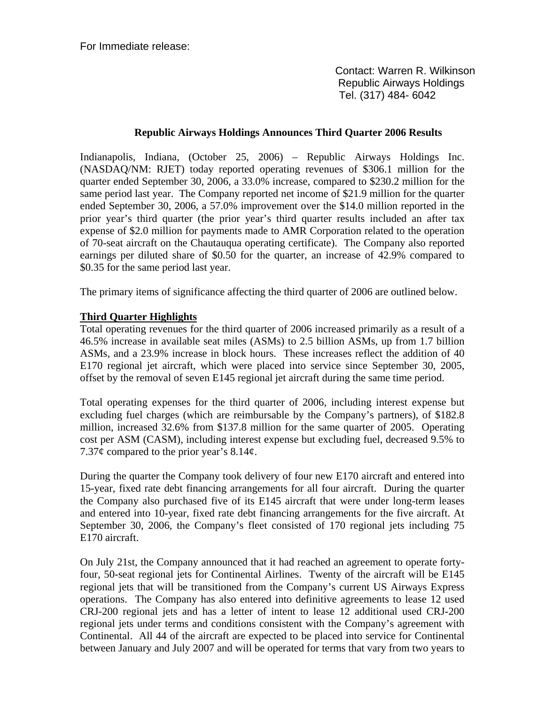For Immediate release:

 Contact: Warren R. Wilkinson Republic Airways Holdings Tel. (317) 484- 6042

### **Republic Airways Holdings Announces Third Quarter 2006 Results**

Indianapolis, Indiana, (October 25, 2006) – Republic Airways Holdings Inc. (NASDAQ/NM: RJET) today reported operating revenues of \$306.1 million for the quarter ended September 30, 2006, a 33.0% increase, compared to \$230.2 million for the same period last year. The Company reported net income of \$21.9 million for the quarter ended September 30, 2006, a 57.0% improvement over the \$14.0 million reported in the prior year's third quarter (the prior year's third quarter results included an after tax expense of \$2.0 million for payments made to AMR Corporation related to the operation of 70-seat aircraft on the Chautauqua operating certificate). The Company also reported earnings per diluted share of \$0.50 for the quarter, an increase of 42.9% compared to \$0.35 for the same period last year.

The primary items of significance affecting the third quarter of 2006 are outlined below.

# **Third Quarter Highlights**

Total operating revenues for the third quarter of 2006 increased primarily as a result of a 46.5% increase in available seat miles (ASMs) to 2.5 billion ASMs, up from 1.7 billion ASMs, and a 23.9% increase in block hours. These increases reflect the addition of 40 E170 regional jet aircraft, which were placed into service since September 30, 2005, offset by the removal of seven E145 regional jet aircraft during the same time period.

Total operating expenses for the third quarter of 2006, including interest expense but excluding fuel charges (which are reimbursable by the Company's partners), of \$182.8 million, increased 32.6% from \$137.8 million for the same quarter of 2005. Operating cost per ASM (CASM), including interest expense but excluding fuel, decreased 9.5% to 7.37 $\phi$  compared to the prior year's 8.14 $\phi$ .

During the quarter the Company took delivery of four new E170 aircraft and entered into 15-year, fixed rate debt financing arrangements for all four aircraft. During the quarter the Company also purchased five of its E145 aircraft that were under long-term leases and entered into 10-year, fixed rate debt financing arrangements for the five aircraft. At September 30, 2006, the Company's fleet consisted of 170 regional jets including 75 E170 aircraft.

On July 21st, the Company announced that it had reached an agreement to operate fortyfour, 50-seat regional jets for Continental Airlines. Twenty of the aircraft will be E145 regional jets that will be transitioned from the Company's current US Airways Express operations. The Company has also entered into definitive agreements to lease 12 used CRJ-200 regional jets and has a letter of intent to lease 12 additional used CRJ-200 regional jets under terms and conditions consistent with the Company's agreement with Continental. All 44 of the aircraft are expected to be placed into service for Continental between January and July 2007 and will be operated for terms that vary from two years to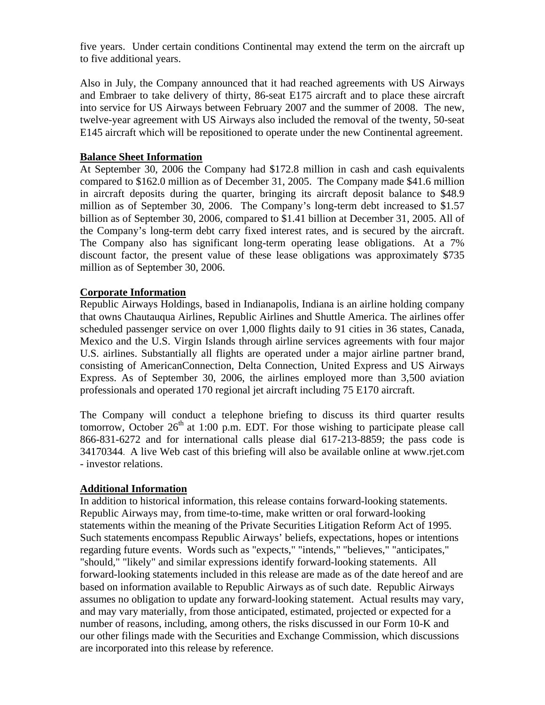five years. Under certain conditions Continental may extend the term on the aircraft up to five additional years.

Also in July, the Company announced that it had reached agreements with US Airways and Embraer to take delivery of thirty, 86-seat E175 aircraft and to place these aircraft into service for US Airways between February 2007 and the summer of 2008. The new, twelve-year agreement with US Airways also included the removal of the twenty, 50-seat E145 aircraft which will be repositioned to operate under the new Continental agreement.

### **Balance Sheet Information**

At September 30, 2006 the Company had \$172.8 million in cash and cash equivalents compared to \$162.0 million as of December 31, 2005. The Company made \$41.6 million in aircraft deposits during the quarter, bringing its aircraft deposit balance to \$48.9 million as of September 30, 2006. The Company's long-term debt increased to \$1.57 billion as of September 30, 2006, compared to \$1.41 billion at December 31, 2005. All of the Company's long-term debt carry fixed interest rates, and is secured by the aircraft. The Company also has significant long-term operating lease obligations. At a 7% discount factor, the present value of these lease obligations was approximately \$735 million as of September 30, 2006.

# **Corporate Information**

Republic Airways Holdings, based in Indianapolis, Indiana is an airline holding company that owns Chautauqua Airlines, Republic Airlines and Shuttle America. The airlines offer scheduled passenger service on over 1,000 flights daily to 91 cities in 36 states, Canada, Mexico and the U.S. Virgin Islands through airline services agreements with four major U.S. airlines. Substantially all flights are operated under a major airline partner brand, consisting of AmericanConnection, Delta Connection, United Express and US Airways Express. As of September 30, 2006, the airlines employed more than 3,500 aviation professionals and operated 170 regional jet aircraft including 75 E170 aircraft.

The Company will conduct a telephone briefing to discuss its third quarter results tomorrow, October  $26<sup>th</sup>$  at 1:00 p.m. EDT. For those wishing to participate please call 866-831-6272 and for international calls please dial 617-213-8859; the pass code is 34170344. A live Web cast of this briefing will also be available online at www.rjet.com - investor relations.

#### **Additional Information**

In addition to historical information, this release contains forward-looking statements. Republic Airways may, from time-to-time, make written or oral forward-looking statements within the meaning of the Private Securities Litigation Reform Act of 1995. Such statements encompass Republic Airways' beliefs, expectations, hopes or intentions regarding future events. Words such as "expects," "intends," "believes," "anticipates," "should," "likely" and similar expressions identify forward-looking statements. All forward-looking statements included in this release are made as of the date hereof and are based on information available to Republic Airways as of such date. Republic Airways assumes no obligation to update any forward-looking statement. Actual results may vary, and may vary materially, from those anticipated, estimated, projected or expected for a number of reasons, including, among others, the risks discussed in our Form 10-K and our other filings made with the Securities and Exchange Commission, which discussions are incorporated into this release by reference.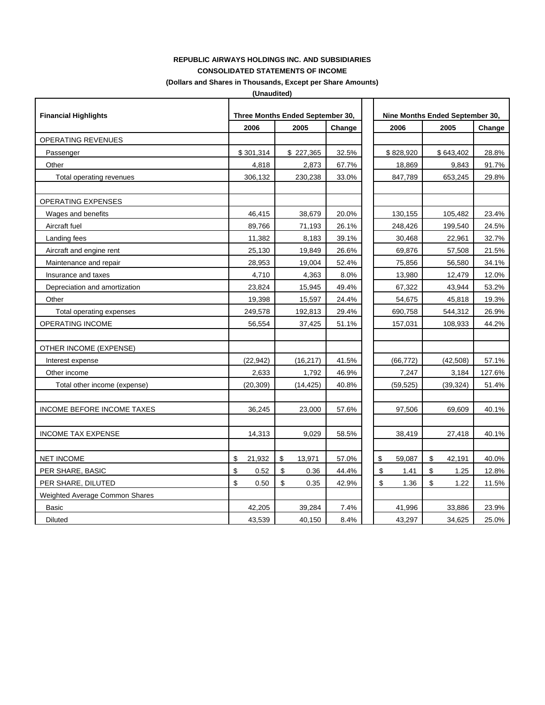# **REPUBLIC AIRWAYS HOLDINGS INC. AND SUBSIDIARIES CONSOLIDATED STATEMENTS OF INCOME**

**(Dollars and Shares in Thousands, Except per Share Amounts)** 

**(Unaudited)**

| <b>Financial Highlights</b>       | Three Months Ended September 30, |              |        |  | Nine Months Ended September 30, |              |        |  |  |
|-----------------------------------|----------------------------------|--------------|--------|--|---------------------------------|--------------|--------|--|--|
|                                   | 2006                             | 2005         | Change |  | 2006                            | 2005         | Change |  |  |
| OPERATING REVENUES                |                                  |              |        |  |                                 |              |        |  |  |
| Passenger                         | \$301,314                        | \$227,365    | 32.5%  |  | \$828,920                       | \$643,402    | 28.8%  |  |  |
| Other                             | 4,818                            | 2,873        | 67.7%  |  | 18,869                          | 9,843        | 91.7%  |  |  |
| Total operating revenues          | 306,132                          | 230,238      | 33.0%  |  | 847,789                         | 653,245      | 29.8%  |  |  |
| <b>OPERATING EXPENSES</b>         |                                  |              |        |  |                                 |              |        |  |  |
| Wages and benefits                | 46,415                           | 38,679       | 20.0%  |  | 130,155                         | 105,482      | 23.4%  |  |  |
| Aircraft fuel                     | 89,766                           | 71,193       | 26.1%  |  | 248,426                         | 199,540      | 24.5%  |  |  |
| Landing fees                      | 11,382                           | 8,183        | 39.1%  |  | 30,468                          | 22,961       | 32.7%  |  |  |
| Aircraft and engine rent          | 25,130                           | 19,849       | 26.6%  |  | 69,876                          | 57,508       | 21.5%  |  |  |
| Maintenance and repair            | 28,953                           | 19,004       | 52.4%  |  | 75,856                          | 56,580       | 34.1%  |  |  |
| Insurance and taxes               | 4,710                            | 4,363        | 8.0%   |  | 13,980                          | 12,479       | 12.0%  |  |  |
| Depreciation and amortization     | 23,824                           | 15,945       | 49.4%  |  | 67,322                          | 43,944       | 53.2%  |  |  |
| Other                             | 19,398                           | 15,597       | 24.4%  |  | 54,675                          | 45,818       | 19.3%  |  |  |
| Total operating expenses          | 249,578                          | 192,813      | 29.4%  |  | 690,758                         | 544,312      | 26.9%  |  |  |
| OPERATING INCOME                  | 56,554                           | 37,425       | 51.1%  |  | 157,031                         | 108,933      | 44.2%  |  |  |
| OTHER INCOME (EXPENSE)            |                                  |              |        |  |                                 |              |        |  |  |
| Interest expense                  | (22, 942)                        | (16, 217)    | 41.5%  |  | (66, 772)                       | (42, 508)    | 57.1%  |  |  |
| Other income                      | 2,633                            | 1,792        | 46.9%  |  | 7,247                           | 3,184        | 127.6% |  |  |
| Total other income (expense)      | (20, 309)                        | (14, 425)    | 40.8%  |  | (59, 525)                       | (39, 324)    | 51.4%  |  |  |
| <b>INCOME BEFORE INCOME TAXES</b> | 36,245                           | 23,000       | 57.6%  |  | 97,506                          | 69,609       | 40.1%  |  |  |
| <b>INCOME TAX EXPENSE</b>         | 14,313                           | 9,029        | 58.5%  |  | 38,419                          | 27,418       | 40.1%  |  |  |
| <b>NET INCOME</b>                 | \$<br>21,932                     | \$<br>13,971 | 57.0%  |  | \$<br>59,087                    | \$<br>42,191 | 40.0%  |  |  |
| PER SHARE, BASIC                  | \$<br>0.52                       | \$<br>0.36   | 44.4%  |  | \$<br>1.41                      | \$<br>1.25   | 12.8%  |  |  |
| PER SHARE, DILUTED                | \$<br>0.50                       | \$<br>0.35   | 42.9%  |  | \$<br>1.36                      | \$<br>1.22   | 11.5%  |  |  |
| Weighted Average Common Shares    |                                  |              |        |  |                                 |              |        |  |  |
| <b>Basic</b>                      | 42,205                           | 39,284       | 7.4%   |  | 41,996                          | 33,886       | 23.9%  |  |  |
| <b>Diluted</b>                    | 43,539                           | 40,150       | 8.4%   |  | 43,297                          | 34,625       | 25.0%  |  |  |